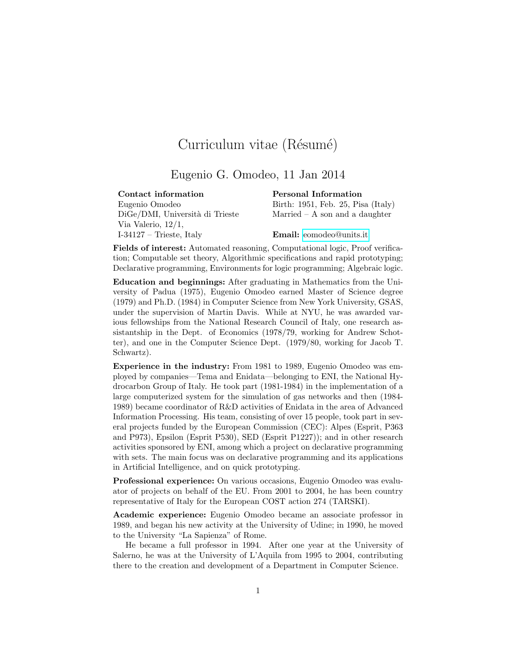## Curriculum vitae (Résumé)

## Eugenio G. Omodeo, 11 Jan 2014

| Contact information             | Personal Information           |
|---------------------------------|--------------------------------|
| Eugenio Omodeo                  | Birth: 1951, Feb. 25, Pisa     |
| DiGe/DMI, Università di Trieste | Married $-$ A son and a da     |
| Via Valerio, $12/1$ ,           |                                |
| $I-34127$ – Trieste, Italy      | <b>Email:</b> eomodeo@units.it |

nal Information 1951, Feb. 25, Pisa (Italy)  $ed - A$  son and a daughter

Fields of interest: Automated reasoning, Computational logic, Proof verification; Computable set theory, Algorithmic specifications and rapid prototyping; Declarative programming, Environments for logic programming; Algebraic logic.

Education and beginnings: After graduating in Mathematics from the University of Padua (1975), Eugenio Omodeo earned Master of Science degree (1979) and Ph.D. (1984) in Computer Science from New York University, GSAS, under the supervision of Martin Davis. While at NYU, he was awarded various fellowships from the National Research Council of Italy, one research assistantship in the Dept. of Economics (1978/79, working for Andrew Schotter), and one in the Computer Science Dept. (1979/80, working for Jacob T. Schwartz).

Experience in the industry: From 1981 to 1989, Eugenio Omodeo was employed by companies—Tema and Enidata—belonging to ENI, the National Hydrocarbon Group of Italy. He took part (1981-1984) in the implementation of a large computerized system for the simulation of gas networks and then (1984- 1989) became coordinator of R&D activities of Enidata in the area of Advanced Information Processing. His team, consisting of over 15 people, took part in several projects funded by the European Commission (CEC): Alpes (Esprit, P363 and P973), Epsilon (Esprit P530), SED (Esprit P1227)); and in other research activities sponsored by ENI, among which a project on declarative programming with sets. The main focus was on declarative programming and its applications in Artificial Intelligence, and on quick prototyping.

Professional experience: On various occasions, Eugenio Omodeo was evaluator of projects on behalf of the EU. From 2001 to 2004, he has been country representative of Italy for the European COST action 274 (TARSKI).

Academic experience: Eugenio Omodeo became an associate professor in 1989, and began his new activity at the University of Udine; in 1990, he moved to the University "La Sapienza" of Rome.

He became a full professor in 1994. After one year at the University of Salerno, he was at the University of L'Aquila from 1995 to 2004, contributing there to the creation and development of a Department in Computer Science.